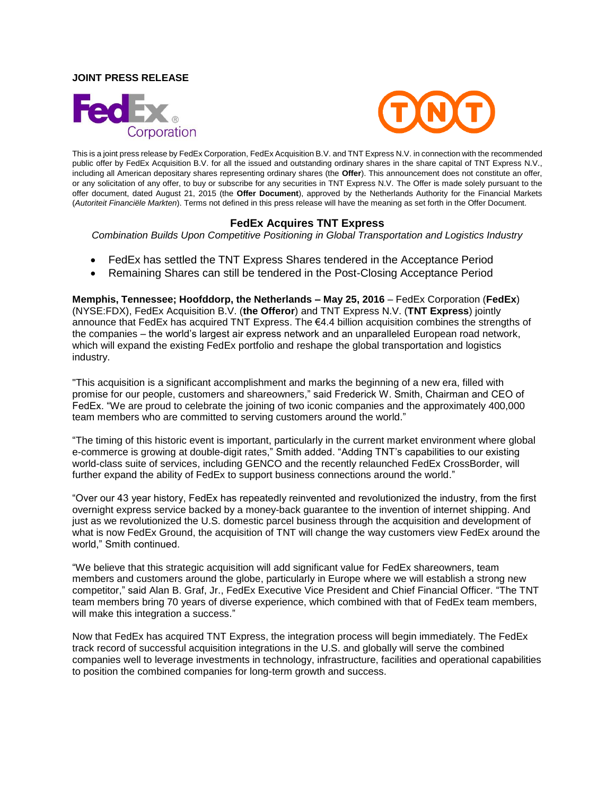### **JOINT PRESS RELEASE**





This is a joint press release by FedEx Corporation, FedEx Acquisition B.V. and TNT Express N.V. in connection with the recommended public offer by FedEx Acquisition B.V. for all the issued and outstanding ordinary shares in the share capital of TNT Express N.V., including all American depositary shares representing ordinary shares (the **Offer**). This announcement does not constitute an offer, or any solicitation of any offer, to buy or subscribe for any securities in TNT Express N.V. The Offer is made solely pursuant to the offer document, dated August 21, 2015 (the **Offer Document**), approved by the Netherlands Authority for the Financial Markets (*Autoriteit Financiële Markten*). Terms not defined in this press release will have the meaning as set forth in the Offer Document.

# **FedEx Acquires TNT Express**

*Combination Builds Upon Competitive Positioning in Global Transportation and Logistics Industry*

- FedEx has settled the TNT Express Shares tendered in the Acceptance Period
- Remaining Shares can still be tendered in the Post-Closing Acceptance Period

**Memphis, Tennessee; Hoofddorp, the Netherlands – May 25, 2016** – FedEx Corporation (**FedEx**) (NYSE:FDX), FedEx Acquisition B.V. (**the Offeror**) and TNT Express N.V. (**TNT Express**) jointly announce that FedEx has acquired TNT Express. The €4.4 billion acquisition combines the strengths of the companies – the world's largest air express network and an unparalleled European road network, which will expand the existing FedEx portfolio and reshape the global transportation and logistics industry.

"This acquisition is a significant accomplishment and marks the beginning of a new era, filled with promise for our people, customers and shareowners," said Frederick W. Smith, Chairman and CEO of FedEx. "We are proud to celebrate the joining of two iconic companies and the approximately 400,000 team members who are committed to serving customers around the world."

"The timing of this historic event is important, particularly in the current market environment where global e-commerce is growing at double-digit rates," Smith added. "Adding TNT's capabilities to our existing world-class suite of services, including GENCO and the recently relaunched FedEx CrossBorder, will further expand the ability of FedEx to support business connections around the world."

"Over our 43 year history, FedEx has repeatedly reinvented and revolutionized the industry, from the first overnight express service backed by a money-back guarantee to the invention of internet shipping. And just as we revolutionized the U.S. domestic parcel business through the acquisition and development of what is now FedEx Ground, the acquisition of TNT will change the way customers view FedEx around the world," Smith continued.

"We believe that this strategic acquisition will add significant value for FedEx shareowners, team members and customers around the globe, particularly in Europe where we will establish a strong new competitor," said Alan B. Graf, Jr., FedEx Executive Vice President and Chief Financial Officer. "The TNT team members bring 70 years of diverse experience, which combined with that of FedEx team members, will make this integration a success."

Now that FedEx has acquired TNT Express, the integration process will begin immediately. The FedEx track record of successful acquisition integrations in the U.S. and globally will serve the combined companies well to leverage investments in technology, infrastructure, facilities and operational capabilities to position the combined companies for long-term growth and success.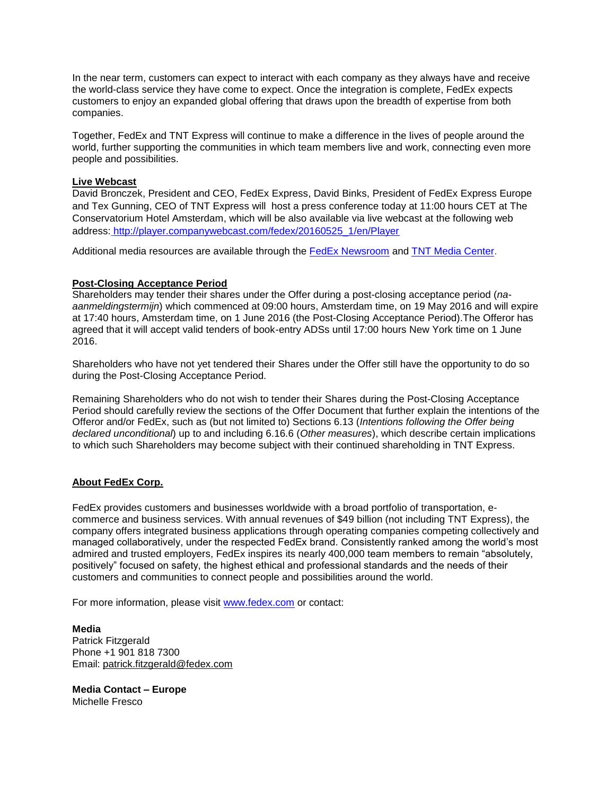In the near term, customers can expect to interact with each company as they always have and receive the world-class service they have come to expect. Once the integration is complete, FedEx expects customers to enjoy an expanded global offering that draws upon the breadth of expertise from both companies.

Together, FedEx and TNT Express will continue to make a difference in the lives of people around the world, further supporting the communities in which team members live and work, connecting even more people and possibilities.

### **Live Webcast**

David Bronczek, President and CEO, FedEx Express, David Binks, President of FedEx Express Europe and Tex Gunning, CEO of TNT Express will host a press conference today at 11:00 hours CET at The Conservatorium Hotel Amsterdam, which will be also available via live webcast at the following web address: [http://player.companywebcast.com/fedex/20160525\\_1/en/Player](http://player.companywebcast.com/fedex/20160525_1/en/Player)

Additional media resources are available through the [FedEx Newsroom](http://about.van.fedex.com/newsroom/global-english/) and [TNT Media Center.](http://www.tnt.com/corporate/en/site/home/press/presslibrary.html)

# **Post-Closing Acceptance Period**

Shareholders may tender their shares under the Offer during a post-closing acceptance period (*naaanmeldingstermijn*) which commenced at 09:00 hours, Amsterdam time, on 19 May 2016 and will expire at 17:40 hours, Amsterdam time, on 1 June 2016 (the Post-Closing Acceptance Period).The Offeror has agreed that it will accept valid tenders of book-entry ADSs until 17:00 hours New York time on 1 June 2016.

Shareholders who have not yet tendered their Shares under the Offer still have the opportunity to do so during the Post-Closing Acceptance Period.

Remaining Shareholders who do not wish to tender their Shares during the Post-Closing Acceptance Period should carefully review the sections of the Offer Document that further explain the intentions of the Offeror and/or FedEx, such as (but not limited to) Sections 6.13 (*Intentions following the Offer being declared unconditional*) up to and including 6.16.6 (*Other measures*), which describe certain implications to which such Shareholders may become subject with their continued shareholding in TNT Express.

#### **About FedEx Corp.**

FedEx provides customers and businesses worldwide with a broad portfolio of transportation, ecommerce and business services. With annual revenues of \$49 billion (not including TNT Express), the company offers integrated business applications through operating companies competing collectively and managed collaboratively, under the respected FedEx brand. Consistently ranked among the world's most admired and trusted employers, FedEx inspires its nearly 400,000 team members to remain "absolutely, positively" focused on safety, the highest ethical and professional standards and the needs of their customers and communities to connect people and possibilities around the world.

For more information, please visit [www.fedex.com](http://www.fedex.com/) or contact:

**Media** Patrick Fitzgerald Phone +1 901 818 7300 Email: [patrick.fitzgerald@fedex.com](mailto:patrick.fitzgerald@fedex.com)

**Media Contact – Europe** Michelle Fresco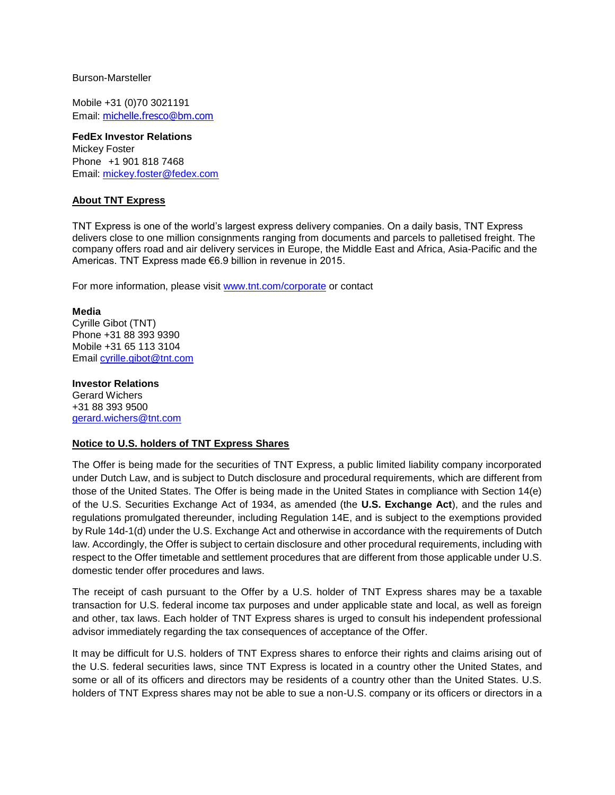#### Burson-Marsteller

Mobile +31 (0)70 3021191 Email: [michelle.fresco@bm.com](mailto:michelle.fresco@bm.com)

**FedEx Investor Relations**  Mickey Foster Phone +1 901 818 7468 Email: [mickey.foster@fedex.com](mailto:mickey.foster@fedex.com)

# **About TNT Express**

TNT Express is one of the world's largest express delivery companies. On a daily basis, TNT Express delivers close to one million consignments ranging from documents and parcels to palletised freight. The company offers road and air delivery services in Europe, the Middle East and Africa, Asia-Pacific and the Americas. TNT Express made €6.9 billion in revenue in 2015.

For more information, please visit [www.tnt.com/corporate](http://www.tnt.com/corporate) or contact

#### **Media**

Cyrille Gibot (TNT) Phone +31 88 393 9390 Mobile +31 65 113 3104 Email [cyrille.gibot@tnt.com](mailto:cyrille.gibot@tnt.com)

#### **Investor Relations**

Gerard Wichers +31 88 393 9500 [gerard.wichers@tnt.com](mailto:gerard.wichers@tnt.com)

#### **Notice to U.S. holders of TNT Express Shares**

The Offer is being made for the securities of TNT Express, a public limited liability company incorporated under Dutch Law, and is subject to Dutch disclosure and procedural requirements, which are different from those of the United States. The Offer is being made in the United States in compliance with Section 14(e) of the U.S. Securities Exchange Act of 1934, as amended (the **U.S. Exchange Act**), and the rules and regulations promulgated thereunder, including Regulation 14E, and is subject to the exemptions provided by Rule 14d-1(d) under the U.S. Exchange Act and otherwise in accordance with the requirements of Dutch law. Accordingly, the Offer is subject to certain disclosure and other procedural requirements, including with respect to the Offer timetable and settlement procedures that are different from those applicable under U.S. domestic tender offer procedures and laws.

The receipt of cash pursuant to the Offer by a U.S. holder of TNT Express shares may be a taxable transaction for U.S. federal income tax purposes and under applicable state and local, as well as foreign and other, tax laws. Each holder of TNT Express shares is urged to consult his independent professional advisor immediately regarding the tax consequences of acceptance of the Offer.

It may be difficult for U.S. holders of TNT Express shares to enforce their rights and claims arising out of the U.S. federal securities laws, since TNT Express is located in a country other the United States, and some or all of its officers and directors may be residents of a country other than the United States. U.S. holders of TNT Express shares may not be able to sue a non-U.S. company or its officers or directors in a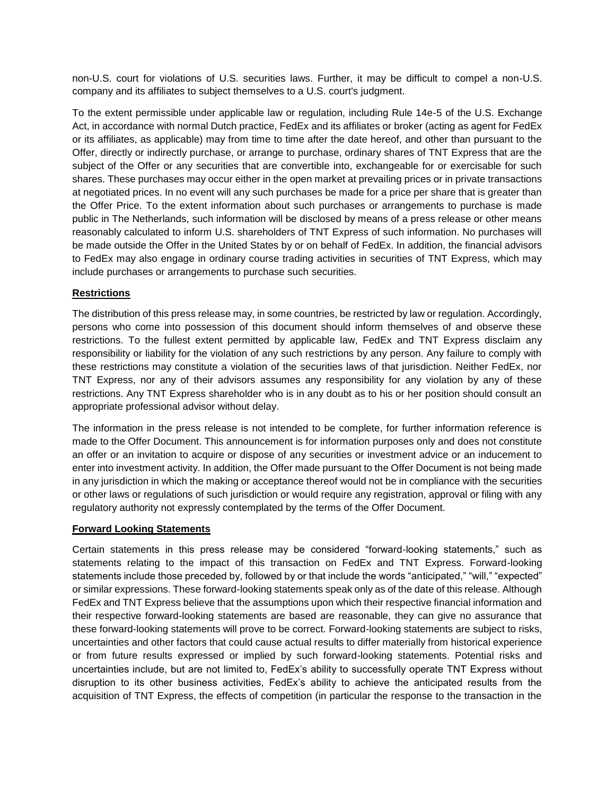non-U.S. court for violations of U.S. securities laws. Further, it may be difficult to compel a non-U.S. company and its affiliates to subject themselves to a U.S. court's judgment.

To the extent permissible under applicable law or regulation, including Rule 14e-5 of the U.S. Exchange Act, in accordance with normal Dutch practice, FedEx and its affiliates or broker (acting as agent for FedEx or its affiliates, as applicable) may from time to time after the date hereof, and other than pursuant to the Offer, directly or indirectly purchase, or arrange to purchase, ordinary shares of TNT Express that are the subject of the Offer or any securities that are convertible into, exchangeable for or exercisable for such shares. These purchases may occur either in the open market at prevailing prices or in private transactions at negotiated prices. In no event will any such purchases be made for a price per share that is greater than the Offer Price. To the extent information about such purchases or arrangements to purchase is made public in The Netherlands, such information will be disclosed by means of a press release or other means reasonably calculated to inform U.S. shareholders of TNT Express of such information. No purchases will be made outside the Offer in the United States by or on behalf of FedEx. In addition, the financial advisors to FedEx may also engage in ordinary course trading activities in securities of TNT Express, which may include purchases or arrangements to purchase such securities.

# **Restrictions**

The distribution of this press release may, in some countries, be restricted by law or regulation. Accordingly, persons who come into possession of this document should inform themselves of and observe these restrictions. To the fullest extent permitted by applicable law, FedEx and TNT Express disclaim any responsibility or liability for the violation of any such restrictions by any person. Any failure to comply with these restrictions may constitute a violation of the securities laws of that jurisdiction. Neither FedEx, nor TNT Express, nor any of their advisors assumes any responsibility for any violation by any of these restrictions. Any TNT Express shareholder who is in any doubt as to his or her position should consult an appropriate professional advisor without delay.

The information in the press release is not intended to be complete, for further information reference is made to the Offer Document. This announcement is for information purposes only and does not constitute an offer or an invitation to acquire or dispose of any securities or investment advice or an inducement to enter into investment activity. In addition, the Offer made pursuant to the Offer Document is not being made in any jurisdiction in which the making or acceptance thereof would not be in compliance with the securities or other laws or regulations of such jurisdiction or would require any registration, approval or filing with any regulatory authority not expressly contemplated by the terms of the Offer Document.

# **Forward Looking Statements**

Certain statements in this press release may be considered "forward-looking statements," such as statements relating to the impact of this transaction on FedEx and TNT Express. Forward-looking statements include those preceded by, followed by or that include the words "anticipated," "will," "expected" or similar expressions. These forward-looking statements speak only as of the date of this release. Although FedEx and TNT Express believe that the assumptions upon which their respective financial information and their respective forward-looking statements are based are reasonable, they can give no assurance that these forward-looking statements will prove to be correct. Forward-looking statements are subject to risks, uncertainties and other factors that could cause actual results to differ materially from historical experience or from future results expressed or implied by such forward-looking statements. Potential risks and uncertainties include, but are not limited to, FedEx's ability to successfully operate TNT Express without disruption to its other business activities, FedEx's ability to achieve the anticipated results from the acquisition of TNT Express, the effects of competition (in particular the response to the transaction in the